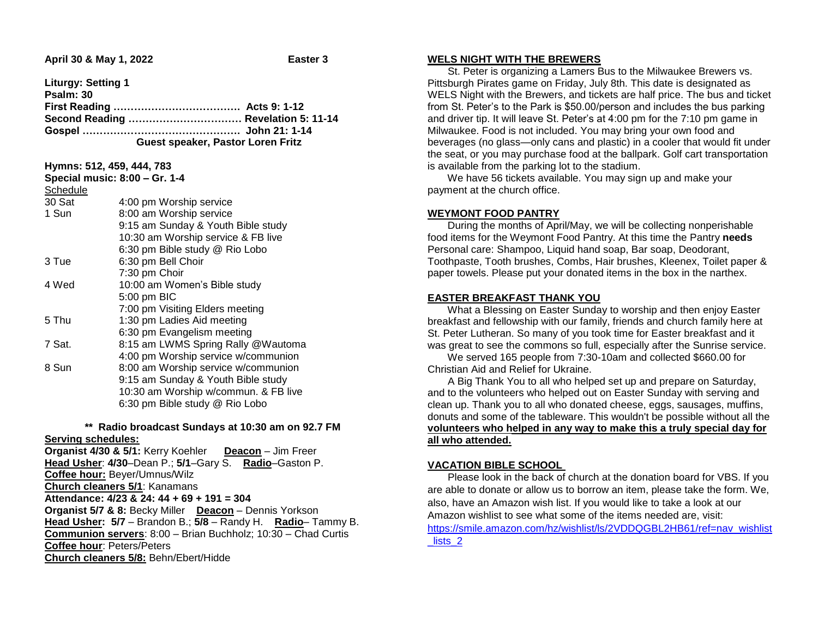**Liturgy: Setting 1** 

| Psalm: 30 |                                     |
|-----------|-------------------------------------|
|           |                                     |
|           | Second Reading  Revelation 5: 11-14 |
|           |                                     |
|           | Guest speaker, Pastor Loren Fritz   |

| Schedule<br>30 Sat | 4:00 pm Worship service              |
|--------------------|--------------------------------------|
| 1 Sun              | 8:00 am Worship service              |
|                    | 9:15 am Sunday & Youth Bible study   |
|                    | 10:30 am Worship service & FB live   |
|                    | 6:30 pm Bible study @ Rio Lobo       |
| 3 Tue              | 6:30 pm Bell Choir                   |
|                    | 7:30 pm Choir                        |
| 4 Wed              | 10:00 am Women's Bible study         |
|                    | 5:00 pm BIC                          |
|                    | 7:00 pm Visiting Elders meeting      |
| 5 Thu              | 1:30 pm Ladies Aid meeting           |
|                    | 6:30 pm Evangelism meeting           |
| 7 Sat.             | 8:15 am LWMS Spring Rally @Wautoma   |
|                    | 4:00 pm Worship service w/communion  |
| 8 Sun              | 8:00 am Worship service w/communion  |
|                    | 9:15 am Sunday & Youth Bible study   |
|                    | 10:30 am Worship w/commun. & FB live |
|                    | 6:30 pm Bible study @ Rio Lobo       |

### **\*\* Radio broadcast Sundays at 10:30 am on 92.7 FM Serving schedules:**

**Organist 4/30 & 5/1:** Kerry Koehler **Deacon** – Jim Freer **Head Usher**: **4/30**–Dean P.; **5/1**–Gary S. **Radio**–Gaston P. **Coffee hour:** Beyer/Umnus/Wilz **Church cleaners 5/1**: Kanamans **Attendance: 4/23 & 24: 44 + 69 + 191 = 304 Organist 5/7 & 8:** Becky Miller **Deacon** – Dennis Yorkson **Head Usher: 5/7** – Brandon B.; **5/8** – Randy H. **Radio**– Tammy B. **Communion servers**: 8:00 – Brian Buchholz; 10:30 – Chad Curtis **Coffee hour**: Peters/Peters **Church cleaners 5/8:** Behn/Ebert/Hidde

#### **WELS NIGHT WITH THE BREWERS**

 St. Peter is organizing a Lamers Bus to the Milwaukee Brewers vs. Pittsburgh Pirates game on Friday, July 8th. This date is designated as WELS Night with the Brewers, and tickets are half price. The bus and ticket from St. Peter's to the Park is \$50.00/person and includes the bus parking and driver tip. It will leave St. Peter's at 4:00 pm for the 7:10 pm game in Milwaukee. Food is not included. You may bring your own food and beverages (no glass—only cans and plastic) in a cooler that would fit under the seat, or you may purchase food at the ballpark. Golf cart transportation is available from the parking lot to the stadium.

 We have 56 tickets available. You may sign up and make your payment at the church office.

# **WEYMONT FOOD PANTRY**

 During the months of April/May, we will be collecting nonperishable food items for the Weymont Food Pantry. At this time the Pantry **needs**  Personal care: Shampoo, Liquid hand soap, Bar soap, Deodorant, Toothpaste, Tooth brushes, Combs, Hair brushes, Kleenex, Toilet paper & paper towels. Please put your donated items in the box in the narthex.

# **EASTER BREAKFAST THANK YOU**

 What a Blessing on Easter Sunday to worship and then enjoy Easter breakfast and fellowship with our family, friends and church family here at St. Peter Lutheran. So many of you took time for Easter breakfast and it was great to see the commons so full, especially after the Sunrise service.

 We served 165 people from 7:30-10am and collected \$660.00 for Christian Aid and Relief for Ukraine.

 A Big Thank You to all who helped set up and prepare on Saturday, and to the volunteers who helped out on Easter Sunday with serving and clean up. Thank you to all who donated cheese, eggs, sausages, muffins, donuts and some of the tableware. This wouldn't be possible without all the **volunteers who helped in any way to make this a truly special day for all who attended.**

# **VACATION BIBLE SCHOOL**

 Please look in the back of church at the donation board for VBS. If you are able to donate or allow us to borrow an item, please take the form. We, also, have an Amazon wish list. If you would like to take a look at our Amazon wishlist to see what some of the items needed are, visit: [https://smile.amazon.com/hz/wishlist/ls/2VDDQGBL2HB61/ref=nav\\_wishlist](https://smile.amazon.com/hz/wishlist/ls/2VDDQGBL2HB61/ref=nav_wishlist_lists_2) lists 2